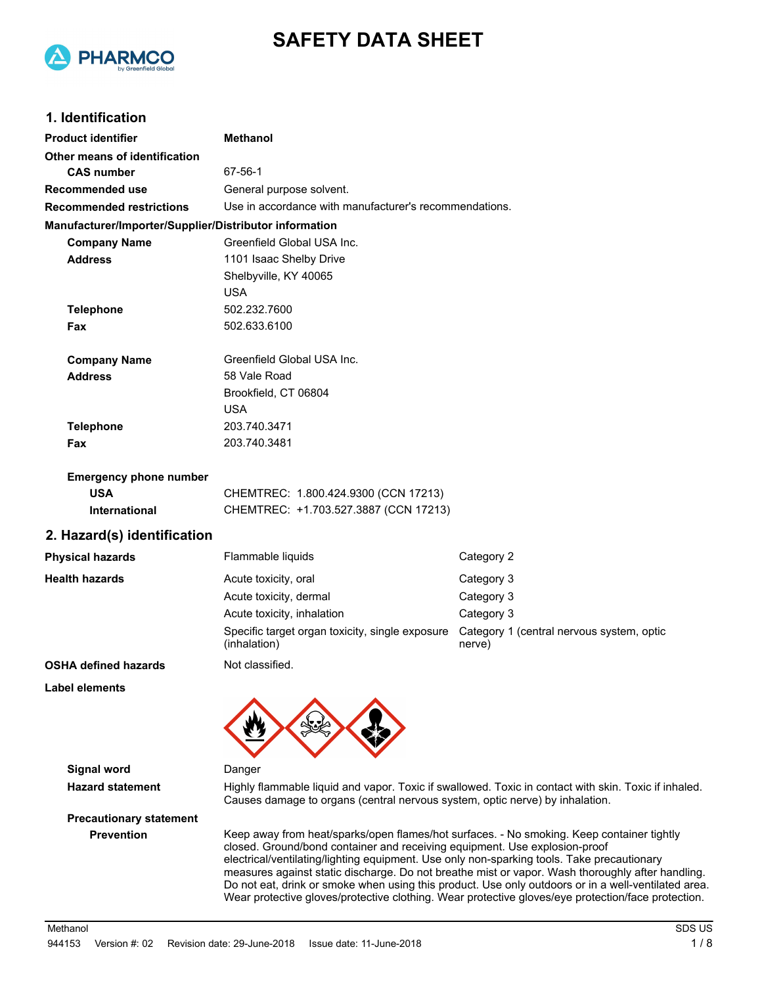

# **SAFETY DATA SHEET**

## **1. Identification**

| <b>Product identifier</b>                              | <b>Methanol</b>                                                                                                                                                                                                                                                                                                                                                                                                                                                                                                                                                                        |                                                                                                      |
|--------------------------------------------------------|----------------------------------------------------------------------------------------------------------------------------------------------------------------------------------------------------------------------------------------------------------------------------------------------------------------------------------------------------------------------------------------------------------------------------------------------------------------------------------------------------------------------------------------------------------------------------------------|------------------------------------------------------------------------------------------------------|
| Other means of identification                          |                                                                                                                                                                                                                                                                                                                                                                                                                                                                                                                                                                                        |                                                                                                      |
| <b>CAS number</b>                                      | 67-56-1                                                                                                                                                                                                                                                                                                                                                                                                                                                                                                                                                                                |                                                                                                      |
| Recommended use                                        | General purpose solvent.                                                                                                                                                                                                                                                                                                                                                                                                                                                                                                                                                               |                                                                                                      |
| <b>Recommended restrictions</b>                        | Use in accordance with manufacturer's recommendations.                                                                                                                                                                                                                                                                                                                                                                                                                                                                                                                                 |                                                                                                      |
| Manufacturer/Importer/Supplier/Distributor information |                                                                                                                                                                                                                                                                                                                                                                                                                                                                                                                                                                                        |                                                                                                      |
| <b>Company Name</b>                                    | Greenfield Global USA Inc.                                                                                                                                                                                                                                                                                                                                                                                                                                                                                                                                                             |                                                                                                      |
| <b>Address</b>                                         | 1101 Isaac Shelby Drive                                                                                                                                                                                                                                                                                                                                                                                                                                                                                                                                                                |                                                                                                      |
|                                                        | Shelbyville, KY 40065                                                                                                                                                                                                                                                                                                                                                                                                                                                                                                                                                                  |                                                                                                      |
|                                                        | <b>USA</b>                                                                                                                                                                                                                                                                                                                                                                                                                                                                                                                                                                             |                                                                                                      |
| <b>Telephone</b>                                       | 502.232.7600                                                                                                                                                                                                                                                                                                                                                                                                                                                                                                                                                                           |                                                                                                      |
| Fax                                                    | 502.633.6100                                                                                                                                                                                                                                                                                                                                                                                                                                                                                                                                                                           |                                                                                                      |
| <b>Company Name</b>                                    | Greenfield Global USA Inc.                                                                                                                                                                                                                                                                                                                                                                                                                                                                                                                                                             |                                                                                                      |
| <b>Address</b>                                         | 58 Vale Road                                                                                                                                                                                                                                                                                                                                                                                                                                                                                                                                                                           |                                                                                                      |
|                                                        | Brookfield, CT 06804                                                                                                                                                                                                                                                                                                                                                                                                                                                                                                                                                                   |                                                                                                      |
|                                                        | <b>USA</b>                                                                                                                                                                                                                                                                                                                                                                                                                                                                                                                                                                             |                                                                                                      |
| <b>Telephone</b>                                       | 203.740.3471                                                                                                                                                                                                                                                                                                                                                                                                                                                                                                                                                                           |                                                                                                      |
| Fax                                                    | 203.740.3481                                                                                                                                                                                                                                                                                                                                                                                                                                                                                                                                                                           |                                                                                                      |
| <b>Emergency phone number</b>                          |                                                                                                                                                                                                                                                                                                                                                                                                                                                                                                                                                                                        |                                                                                                      |
| <b>USA</b>                                             | CHEMTREC: 1.800.424.9300 (CCN 17213)                                                                                                                                                                                                                                                                                                                                                                                                                                                                                                                                                   |                                                                                                      |
| International                                          | CHEMTREC: +1.703.527.3887 (CCN 17213)                                                                                                                                                                                                                                                                                                                                                                                                                                                                                                                                                  |                                                                                                      |
| 2. Hazard(s) identification                            |                                                                                                                                                                                                                                                                                                                                                                                                                                                                                                                                                                                        |                                                                                                      |
| <b>Physical hazards</b>                                | Flammable liquids                                                                                                                                                                                                                                                                                                                                                                                                                                                                                                                                                                      | Category 2                                                                                           |
| <b>Health hazards</b>                                  | Acute toxicity, oral                                                                                                                                                                                                                                                                                                                                                                                                                                                                                                                                                                   | Category 3                                                                                           |
|                                                        | Acute toxicity, dermal                                                                                                                                                                                                                                                                                                                                                                                                                                                                                                                                                                 | Category 3                                                                                           |
|                                                        | Acute toxicity, inhalation                                                                                                                                                                                                                                                                                                                                                                                                                                                                                                                                                             | Category 3                                                                                           |
|                                                        | Specific target organ toxicity, single exposure<br>(inhalation)                                                                                                                                                                                                                                                                                                                                                                                                                                                                                                                        | Category 1 (central nervous system, optic<br>nerve)                                                  |
| OSHA defined hazards                                   | Not classified.                                                                                                                                                                                                                                                                                                                                                                                                                                                                                                                                                                        |                                                                                                      |
| Label elements                                         |                                                                                                                                                                                                                                                                                                                                                                                                                                                                                                                                                                                        |                                                                                                      |
|                                                        |                                                                                                                                                                                                                                                                                                                                                                                                                                                                                                                                                                                        |                                                                                                      |
| <b>Signal word</b>                                     | Danger                                                                                                                                                                                                                                                                                                                                                                                                                                                                                                                                                                                 |                                                                                                      |
| <b>Hazard statement</b>                                | Causes damage to organs (central nervous system, optic nerve) by inhalation.                                                                                                                                                                                                                                                                                                                                                                                                                                                                                                           | Highly flammable liquid and vapor. Toxic if swallowed. Toxic in contact with skin. Toxic if inhaled. |
| <b>Precautionary statement</b>                         |                                                                                                                                                                                                                                                                                                                                                                                                                                                                                                                                                                                        |                                                                                                      |
| <b>Prevention</b>                                      | Keep away from heat/sparks/open flames/hot surfaces. - No smoking. Keep container tightly<br>closed. Ground/bond container and receiving equipment. Use explosion-proof<br>electrical/ventilating/lighting equipment. Use only non-sparking tools. Take precautionary<br>measures against static discharge. Do not breathe mist or vapor. Wash thoroughly after handling.<br>Do not eat, drink or smoke when using this product. Use only outdoors or in a well-ventilated area.<br>Wear protective gloves/protective clothing. Wear protective gloves/eye protection/face protection. |                                                                                                      |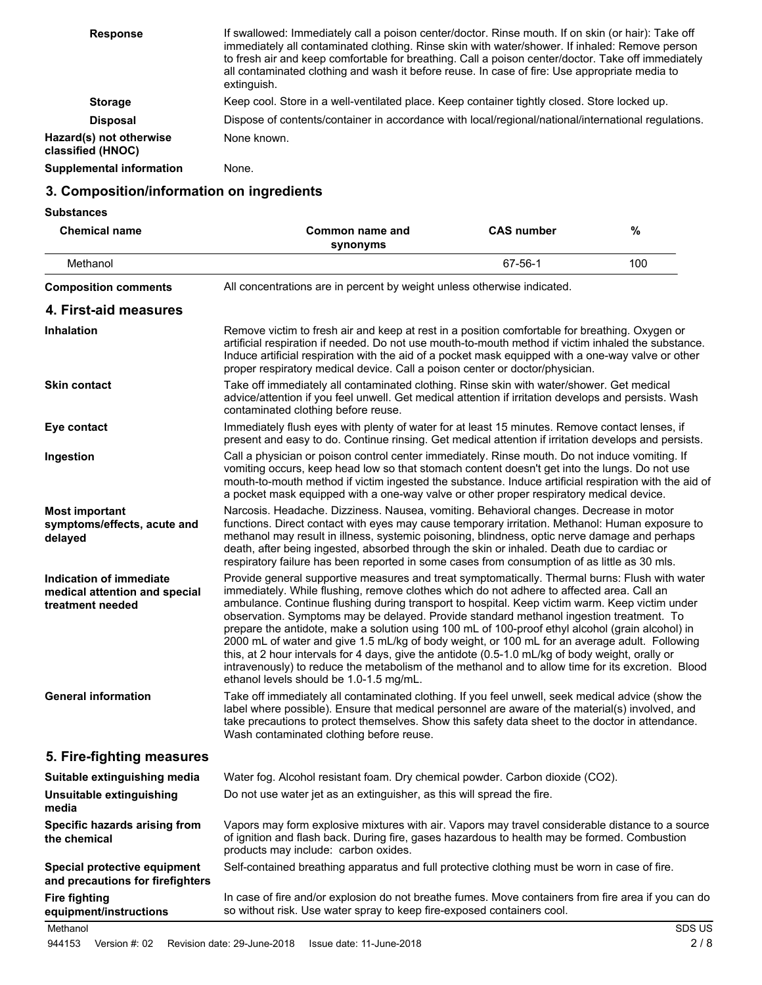| <b>Response</b>                              | If swallowed: Immediately call a poison center/doctor. Rinse mouth. If on skin (or hair): Take off<br>immediately all contaminated clothing. Rinse skin with water/shower. If inhaled: Remove person<br>to fresh air and keep comfortable for breathing. Call a poison center/doctor. Take off immediately<br>all contaminated clothing and wash it before reuse. In case of fire: Use appropriate media to<br>extinguish. |
|----------------------------------------------|----------------------------------------------------------------------------------------------------------------------------------------------------------------------------------------------------------------------------------------------------------------------------------------------------------------------------------------------------------------------------------------------------------------------------|
| <b>Storage</b>                               | Keep cool. Store in a well-ventilated place. Keep container tightly closed. Store locked up.                                                                                                                                                                                                                                                                                                                               |
| <b>Disposal</b>                              | Dispose of contents/container in accordance with local/regional/national/international regulations.                                                                                                                                                                                                                                                                                                                        |
| Hazard(s) not otherwise<br>classified (HNOC) | None known.                                                                                                                                                                                                                                                                                                                                                                                                                |
| Supplemental information                     | None.                                                                                                                                                                                                                                                                                                                                                                                                                      |

### **3. Composition/information on ingredients**

**Substances**

| <b>Chemical name</b>                                                         | Common name and<br>synonyms                                                                                                                                                                                                                                                                                                                                                                                                                                                                                                                                                                                                                                                                                                                                                                                                                        | <b>CAS number</b> | %   |
|------------------------------------------------------------------------------|----------------------------------------------------------------------------------------------------------------------------------------------------------------------------------------------------------------------------------------------------------------------------------------------------------------------------------------------------------------------------------------------------------------------------------------------------------------------------------------------------------------------------------------------------------------------------------------------------------------------------------------------------------------------------------------------------------------------------------------------------------------------------------------------------------------------------------------------------|-------------------|-----|
| Methanol                                                                     |                                                                                                                                                                                                                                                                                                                                                                                                                                                                                                                                                                                                                                                                                                                                                                                                                                                    | 67-56-1           | 100 |
| <b>Composition comments</b>                                                  | All concentrations are in percent by weight unless otherwise indicated.                                                                                                                                                                                                                                                                                                                                                                                                                                                                                                                                                                                                                                                                                                                                                                            |                   |     |
| 4. First-aid measures                                                        |                                                                                                                                                                                                                                                                                                                                                                                                                                                                                                                                                                                                                                                                                                                                                                                                                                                    |                   |     |
| <b>Inhalation</b>                                                            | Remove victim to fresh air and keep at rest in a position comfortable for breathing. Oxygen or<br>artificial respiration if needed. Do not use mouth-to-mouth method if victim inhaled the substance.<br>Induce artificial respiration with the aid of a pocket mask equipped with a one-way valve or other<br>proper respiratory medical device. Call a poison center or doctor/physician.                                                                                                                                                                                                                                                                                                                                                                                                                                                        |                   |     |
| <b>Skin contact</b>                                                          | Take off immediately all contaminated clothing. Rinse skin with water/shower. Get medical<br>advice/attention if you feel unwell. Get medical attention if irritation develops and persists. Wash<br>contaminated clothing before reuse.                                                                                                                                                                                                                                                                                                                                                                                                                                                                                                                                                                                                           |                   |     |
| Eye contact                                                                  | Immediately flush eyes with plenty of water for at least 15 minutes. Remove contact lenses, if<br>present and easy to do. Continue rinsing. Get medical attention if irritation develops and persists.                                                                                                                                                                                                                                                                                                                                                                                                                                                                                                                                                                                                                                             |                   |     |
| Ingestion                                                                    | Call a physician or poison control center immediately. Rinse mouth. Do not induce vomiting. If<br>vomiting occurs, keep head low so that stomach content doesn't get into the lungs. Do not use<br>mouth-to-mouth method if victim ingested the substance. Induce artificial respiration with the aid of<br>a pocket mask equipped with a one-way valve or other proper respiratory medical device.                                                                                                                                                                                                                                                                                                                                                                                                                                                |                   |     |
| <b>Most important</b><br>symptoms/effects, acute and<br>delayed              | Narcosis. Headache. Dizziness. Nausea, vomiting. Behavioral changes. Decrease in motor<br>functions. Direct contact with eyes may cause temporary irritation. Methanol: Human exposure to<br>methanol may result in illness, systemic poisoning, blindness, optic nerve damage and perhaps<br>death, after being ingested, absorbed through the skin or inhaled. Death due to cardiac or<br>respiratory failure has been reported in some cases from consumption of as little as 30 mls.                                                                                                                                                                                                                                                                                                                                                           |                   |     |
| Indication of immediate<br>medical attention and special<br>treatment needed | Provide general supportive measures and treat symptomatically. Thermal burns: Flush with water<br>immediately. While flushing, remove clothes which do not adhere to affected area. Call an<br>ambulance. Continue flushing during transport to hospital. Keep victim warm. Keep victim under<br>observation. Symptoms may be delayed. Provide standard methanol ingestion treatment. To<br>prepare the antidote, make a solution using 100 mL of 100-proof ethyl alcohol (grain alcohol) in<br>2000 mL of water and give 1.5 mL/kg of body weight, or 100 mL for an average adult. Following<br>this, at 2 hour intervals for 4 days, give the antidote (0.5-1.0 mL/kg of body weight, orally or<br>intravenously) to reduce the metabolism of the methanol and to allow time for its excretion. Blood<br>ethanol levels should be 1.0-1.5 mg/mL. |                   |     |
| <b>General information</b>                                                   | Take off immediately all contaminated clothing. If you feel unwell, seek medical advice (show the<br>label where possible). Ensure that medical personnel are aware of the material(s) involved, and<br>take precautions to protect themselves. Show this safety data sheet to the doctor in attendance.<br>Wash contaminated clothing before reuse.                                                                                                                                                                                                                                                                                                                                                                                                                                                                                               |                   |     |
| 5. Fire-fighting measures                                                    |                                                                                                                                                                                                                                                                                                                                                                                                                                                                                                                                                                                                                                                                                                                                                                                                                                                    |                   |     |
| Suitable extinguishing media                                                 | Water fog. Alcohol resistant foam. Dry chemical powder. Carbon dioxide (CO2).                                                                                                                                                                                                                                                                                                                                                                                                                                                                                                                                                                                                                                                                                                                                                                      |                   |     |
| Unsuitable extinguishing<br>media                                            | Do not use water jet as an extinguisher, as this will spread the fire.                                                                                                                                                                                                                                                                                                                                                                                                                                                                                                                                                                                                                                                                                                                                                                             |                   |     |
| Specific hazards arising from<br>the chemical                                | Vapors may form explosive mixtures with air. Vapors may travel considerable distance to a source<br>of ignition and flash back. During fire, gases hazardous to health may be formed. Combustion<br>products may include: carbon oxides.                                                                                                                                                                                                                                                                                                                                                                                                                                                                                                                                                                                                           |                   |     |
| Special protective equipment<br>and precautions for firefighters             | Self-contained breathing apparatus and full protective clothing must be worn in case of fire.                                                                                                                                                                                                                                                                                                                                                                                                                                                                                                                                                                                                                                                                                                                                                      |                   |     |
| <b>Fire fighting</b><br>equipment/instructions                               | In case of fire and/or explosion do not breathe fumes. Move containers from fire area if you can do<br>so without risk. Use water spray to keep fire-exposed containers cool.                                                                                                                                                                                                                                                                                                                                                                                                                                                                                                                                                                                                                                                                      |                   |     |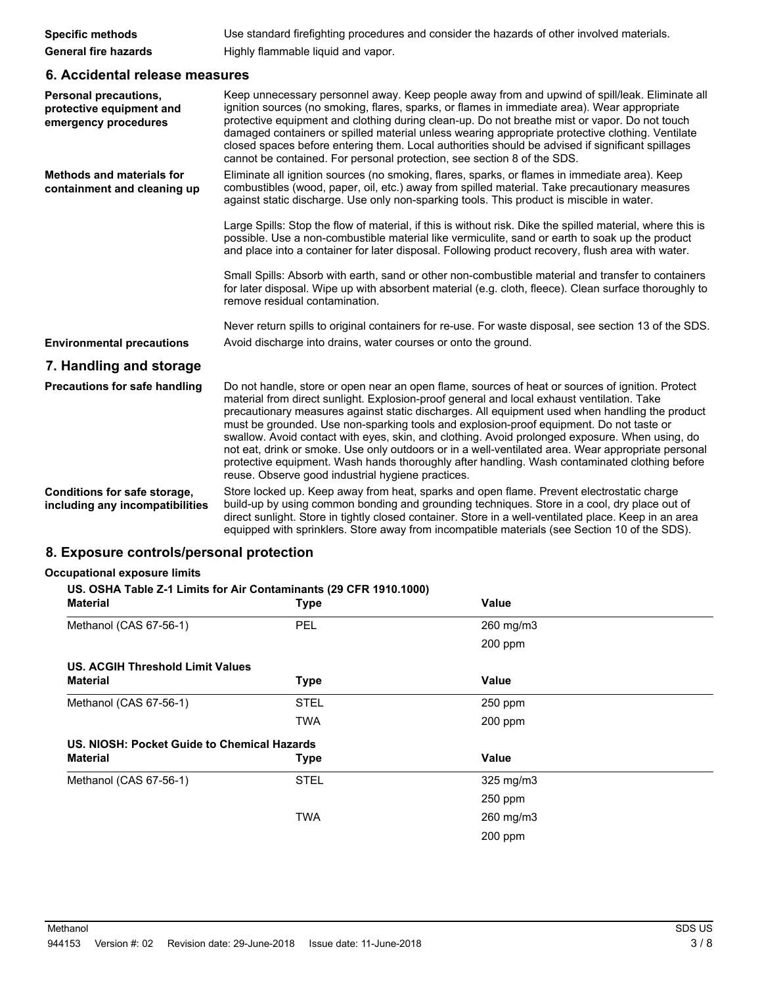| <b>Specific methods</b>     | Use standard firefighting procedures and consider the hazards of other involved materials. |
|-----------------------------|--------------------------------------------------------------------------------------------|
| <b>General fire hazards</b> | Highly flammable liquid and vapor.                                                         |

### **6. Accidental release measures**

| <b>Personal precautions,</b><br>protective equipment and<br>emergency procedures | Keep unnecessary personnel away. Keep people away from and upwind of spill/leak. Eliminate all<br>ignition sources (no smoking, flares, sparks, or flames in immediate area). Wear appropriate<br>protective equipment and clothing during clean-up. Do not breathe mist or vapor. Do not touch<br>damaged containers or spilled material unless wearing appropriate protective clothing. Ventilate<br>closed spaces before entering them. Local authorities should be advised if significant spillages<br>cannot be contained. For personal protection, see section 8 of the SDS.                                                                                                                                                                        |
|----------------------------------------------------------------------------------|-----------------------------------------------------------------------------------------------------------------------------------------------------------------------------------------------------------------------------------------------------------------------------------------------------------------------------------------------------------------------------------------------------------------------------------------------------------------------------------------------------------------------------------------------------------------------------------------------------------------------------------------------------------------------------------------------------------------------------------------------------------|
| <b>Methods and materials for</b><br>containment and cleaning up                  | Eliminate all ignition sources (no smoking, flares, sparks, or flames in immediate area). Keep<br>combustibles (wood, paper, oil, etc.) away from spilled material. Take precautionary measures<br>against static discharge. Use only non-sparking tools. This product is miscible in water.                                                                                                                                                                                                                                                                                                                                                                                                                                                              |
|                                                                                  | Large Spills: Stop the flow of material, if this is without risk. Dike the spilled material, where this is<br>possible. Use a non-combustible material like vermiculite, sand or earth to soak up the product<br>and place into a container for later disposal. Following product recovery, flush area with water.                                                                                                                                                                                                                                                                                                                                                                                                                                        |
|                                                                                  | Small Spills: Absorb with earth, sand or other non-combustible material and transfer to containers<br>for later disposal. Wipe up with absorbent material (e.g. cloth, fleece). Clean surface thoroughly to<br>remove residual contamination.                                                                                                                                                                                                                                                                                                                                                                                                                                                                                                             |
|                                                                                  | Never return spills to original containers for re-use. For waste disposal, see section 13 of the SDS.                                                                                                                                                                                                                                                                                                                                                                                                                                                                                                                                                                                                                                                     |
| <b>Environmental precautions</b>                                                 | Avoid discharge into drains, water courses or onto the ground.                                                                                                                                                                                                                                                                                                                                                                                                                                                                                                                                                                                                                                                                                            |
| 7. Handling and storage                                                          |                                                                                                                                                                                                                                                                                                                                                                                                                                                                                                                                                                                                                                                                                                                                                           |
| Precautions for safe handling                                                    | Do not handle, store or open near an open flame, sources of heat or sources of ignition. Protect<br>material from direct sunlight. Explosion-proof general and local exhaust ventilation. Take<br>precautionary measures against static discharges. All equipment used when handling the product<br>must be grounded. Use non-sparking tools and explosion-proof equipment. Do not taste or<br>swallow. Avoid contact with eyes, skin, and clothing. Avoid prolonged exposure. When using, do<br>not eat, drink or smoke. Use only outdoors or in a well-ventilated area. Wear appropriate personal<br>protective equipment. Wash hands thoroughly after handling. Wash contaminated clothing before<br>reuse. Observe good industrial hygiene practices. |
| Conditions for safe storage,<br>including any incompatibilities                  | Store locked up. Keep away from heat, sparks and open flame. Prevent electrostatic charge<br>build-up by using common bonding and grounding techniques. Store in a cool, dry place out of<br>direct sunlight. Store in tightly closed container. Store in a well-ventilated place. Keep in an area<br>equipped with sprinklers. Store away from incompatible materials (see Section 10 of the SDS).                                                                                                                                                                                                                                                                                                                                                       |
| 8. Exposure controls/personal protection                                         |                                                                                                                                                                                                                                                                                                                                                                                                                                                                                                                                                                                                                                                                                                                                                           |

### **Occupational exposure limits**

#### **US. OSHA Table Z-1 Limits for Air Contaminants (29 CFR 1910.1000)**

| <b>Material</b>                             | <b>Type</b> | <b>Value</b> |  |
|---------------------------------------------|-------------|--------------|--|
| Methanol (CAS 67-56-1)                      | PEL         | 260 mg/m3    |  |
|                                             |             | 200 ppm      |  |
| <b>US. ACGIH Threshold Limit Values</b>     |             |              |  |
| <b>Material</b>                             | <b>Type</b> | <b>Value</b> |  |
| Methanol (CAS 67-56-1)                      | <b>STEL</b> | $250$ ppm    |  |
|                                             | <b>TWA</b>  | $200$ ppm    |  |
| US. NIOSH: Pocket Guide to Chemical Hazards |             |              |  |
| <b>Material</b>                             | <b>Type</b> | Value        |  |
| Methanol (CAS 67-56-1)                      | <b>STEL</b> | 325 mg/m3    |  |
|                                             |             | $250$ ppm    |  |
|                                             | <b>TWA</b>  | 260 mg/m3    |  |
|                                             |             | 200 ppm      |  |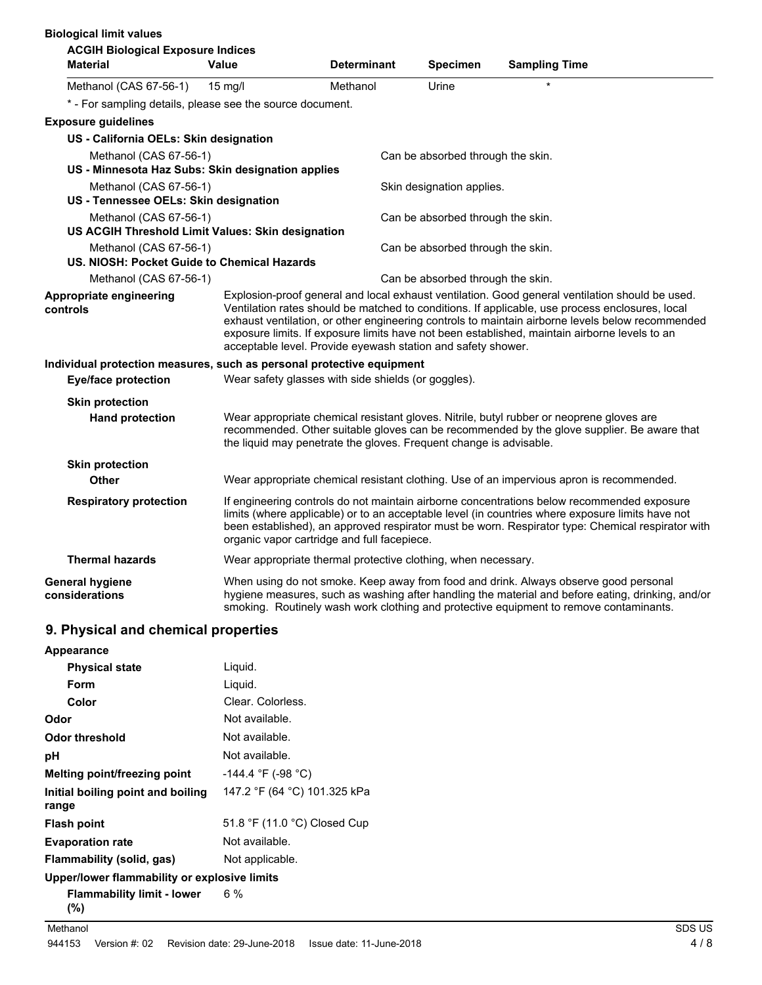| <b>Biological limit values</b>                                        |                                                                    |                    |                                   |                                                                                                                                                                                                                                                                                                      |
|-----------------------------------------------------------------------|--------------------------------------------------------------------|--------------------|-----------------------------------|------------------------------------------------------------------------------------------------------------------------------------------------------------------------------------------------------------------------------------------------------------------------------------------------------|
| <b>ACGIH Biological Exposure Indices</b>                              |                                                                    |                    |                                   |                                                                                                                                                                                                                                                                                                      |
| <b>Material</b>                                                       | Value                                                              | <b>Determinant</b> | <b>Specimen</b>                   | <b>Sampling Time</b>                                                                                                                                                                                                                                                                                 |
| Methanol (CAS 67-56-1)                                                | $15 \text{ mg/l}$                                                  | Methanol           | Urine                             |                                                                                                                                                                                                                                                                                                      |
| * - For sampling details, please see the source document.             |                                                                    |                    |                                   |                                                                                                                                                                                                                                                                                                      |
| <b>Exposure guidelines</b>                                            |                                                                    |                    |                                   |                                                                                                                                                                                                                                                                                                      |
| US - California OELs: Skin designation                                |                                                                    |                    |                                   |                                                                                                                                                                                                                                                                                                      |
| Methanol (CAS 67-56-1)                                                |                                                                    |                    | Can be absorbed through the skin. |                                                                                                                                                                                                                                                                                                      |
| US - Minnesota Haz Subs: Skin designation applies                     |                                                                    |                    |                                   |                                                                                                                                                                                                                                                                                                      |
| Methanol (CAS 67-56-1)                                                |                                                                    |                    | Skin designation applies.         |                                                                                                                                                                                                                                                                                                      |
| US - Tennessee OELs: Skin designation                                 |                                                                    |                    |                                   |                                                                                                                                                                                                                                                                                                      |
| Methanol (CAS 67-56-1)                                                |                                                                    |                    | Can be absorbed through the skin. |                                                                                                                                                                                                                                                                                                      |
| US ACGIH Threshold Limit Values: Skin designation                     |                                                                    |                    |                                   |                                                                                                                                                                                                                                                                                                      |
| Methanol (CAS 67-56-1)<br>US. NIOSH: Pocket Guide to Chemical Hazards |                                                                    |                    | Can be absorbed through the skin. |                                                                                                                                                                                                                                                                                                      |
| Methanol (CAS 67-56-1)                                                |                                                                    |                    | Can be absorbed through the skin. |                                                                                                                                                                                                                                                                                                      |
| Appropriate engineering                                               |                                                                    |                    |                                   | Explosion-proof general and local exhaust ventilation. Good general ventilation should be used.                                                                                                                                                                                                      |
| controls                                                              | acceptable level. Provide eyewash station and safety shower.       |                    |                                   | Ventilation rates should be matched to conditions. If applicable, use process enclosures, local<br>exhaust ventilation, or other engineering controls to maintain airborne levels below recommended<br>exposure limits. If exposure limits have not been established, maintain airborne levels to an |
| Individual protection measures, such as personal protective equipment |                                                                    |                    |                                   |                                                                                                                                                                                                                                                                                                      |
| <b>Eye/face protection</b>                                            | Wear safety glasses with side shields (or goggles).                |                    |                                   |                                                                                                                                                                                                                                                                                                      |
| <b>Skin protection</b>                                                |                                                                    |                    |                                   |                                                                                                                                                                                                                                                                                                      |
| <b>Hand protection</b>                                                | the liquid may penetrate the gloves. Frequent change is advisable. |                    |                                   | Wear appropriate chemical resistant gloves. Nitrile, butyl rubber or neoprene gloves are<br>recommended. Other suitable gloves can be recommended by the glove supplier. Be aware that                                                                                                               |
| <b>Skin protection</b>                                                |                                                                    |                    |                                   |                                                                                                                                                                                                                                                                                                      |
| <b>Other</b>                                                          |                                                                    |                    |                                   | Wear appropriate chemical resistant clothing. Use of an impervious apron is recommended.                                                                                                                                                                                                             |
| <b>Respiratory protection</b>                                         | organic vapor cartridge and full facepiece.                        |                    |                                   | If engineering controls do not maintain airborne concentrations below recommended exposure<br>limits (where applicable) or to an acceptable level (in countries where exposure limits have not<br>been established), an approved respirator must be worn. Respirator type: Chemical respirator with  |
| <b>Thermal hazards</b>                                                | Wear appropriate thermal protective clothing, when necessary.      |                    |                                   |                                                                                                                                                                                                                                                                                                      |
| <b>General hygiene</b><br>considerations                              |                                                                    |                    |                                   | When using do not smoke. Keep away from food and drink. Always observe good personal<br>hygiene measures, such as washing after handling the material and before eating, drinking, and/or<br>smoking. Routinely wash work clothing and protective equipment to remove contaminants.                  |

## **9. Physical and chemical properties**

| Appearance                                   |                              |
|----------------------------------------------|------------------------------|
| <b>Physical state</b>                        | Liquid.                      |
| Form                                         | Liquid.                      |
| Color                                        | Clear, Colorless.            |
| Odor                                         | Not available.               |
| Odor threshold                               | Not available.               |
| рH                                           | Not available.               |
| Melting point/freezing point                 | $-144.4$ °F (-98 °C)         |
| Initial boiling point and boiling<br>range   | 147.2 °F (64 °C) 101.325 kPa |
| <b>Flash point</b>                           | 51.8 °F (11.0 °C) Closed Cup |
| <b>Evaporation rate</b>                      | Not available.               |
| Flammability (solid, gas)                    | Not applicable.              |
| Upper/lower flammability or explosive limits |                              |
| <b>Flammability limit - lower</b><br>(%)     | 6 %                          |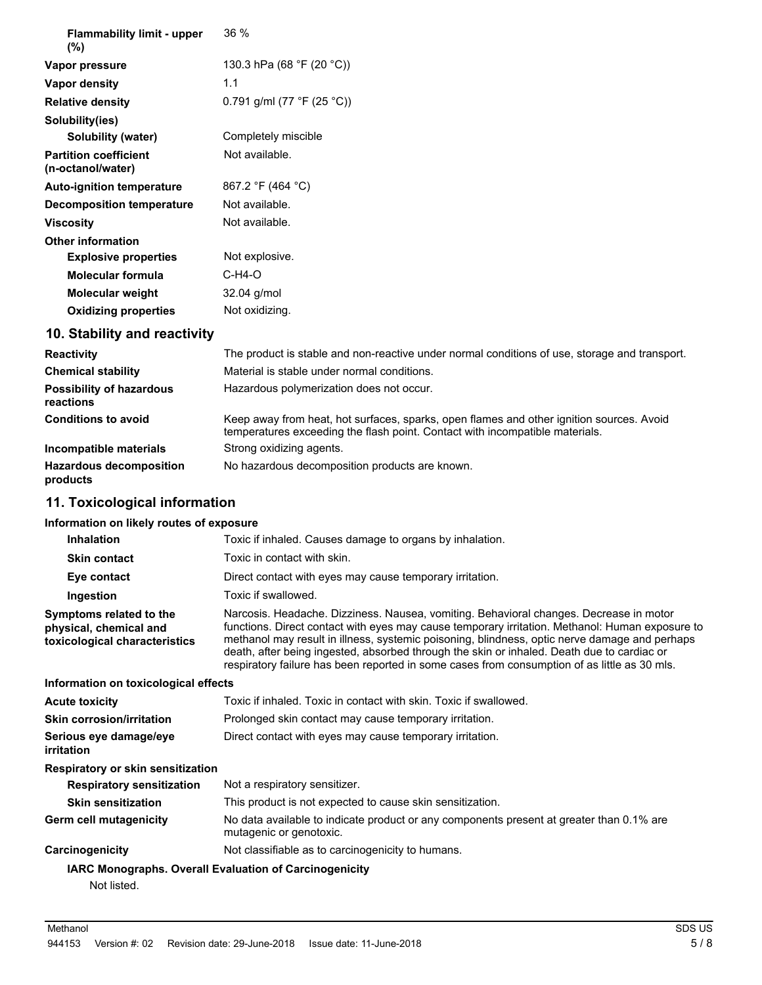| <b>Flammability limit - upper</b><br>$(\%)$       | 36%                        |
|---------------------------------------------------|----------------------------|
| Vapor pressure                                    | 130.3 hPa (68 °F (20 °C))  |
| Vapor density                                     | 1.1                        |
| <b>Relative density</b>                           | 0.791 g/ml (77 °F (25 °C)) |
| Solubility(ies)                                   |                            |
| Solubility (water)                                | Completely miscible        |
| <b>Partition coefficient</b><br>(n-octanol/water) | Not available.             |
| <b>Auto-ignition temperature</b>                  | 867.2 °F (464 °C)          |
| <b>Decomposition temperature</b>                  | Not available.             |
| <b>Viscosity</b>                                  | Not available.             |
| <b>Other information</b>                          |                            |
| <b>Explosive properties</b>                       | Not explosive.             |
| <b>Molecular formula</b>                          | $C-H4-O$                   |
| <b>Molecular weight</b>                           | 32.04 g/mol                |
| <b>Oxidizing properties</b>                       | Not oxidizing.             |

# **10. Stability and reactivity**

| <b>Reactivity</b>                            | The product is stable and non-reactive under normal conditions of use, storage and transport.                                                                            |
|----------------------------------------------|--------------------------------------------------------------------------------------------------------------------------------------------------------------------------|
| <b>Chemical stability</b>                    | Material is stable under normal conditions.                                                                                                                              |
| <b>Possibility of hazardous</b><br>reactions | Hazardous polymerization does not occur.                                                                                                                                 |
| <b>Conditions to avoid</b>                   | Keep away from heat, hot surfaces, sparks, open flames and other ignition sources. Avoid<br>temperatures exceeding the flash point. Contact with incompatible materials. |
| Incompatible materials                       | Strong oxidizing agents.                                                                                                                                                 |
| <b>Hazardous decomposition</b><br>products   | No hazardous decomposition products are known.                                                                                                                           |

# **11. Toxicological information**

### **Information on likely routes of exposure**

| <b>Inhalation</b>                                                                  | Toxic if inhaled. Causes damage to organs by inhalation.                                                                                                                                                                                                                                                                                                                                                                                                                                 |
|------------------------------------------------------------------------------------|------------------------------------------------------------------------------------------------------------------------------------------------------------------------------------------------------------------------------------------------------------------------------------------------------------------------------------------------------------------------------------------------------------------------------------------------------------------------------------------|
| <b>Skin contact</b>                                                                | Toxic in contact with skin.                                                                                                                                                                                                                                                                                                                                                                                                                                                              |
| Eye contact                                                                        | Direct contact with eyes may cause temporary irritation.                                                                                                                                                                                                                                                                                                                                                                                                                                 |
| Ingestion                                                                          | Toxic if swallowed.                                                                                                                                                                                                                                                                                                                                                                                                                                                                      |
| Symptoms related to the<br>physical, chemical and<br>toxicological characteristics | Narcosis. Headache. Dizziness. Nausea, vomiting. Behavioral changes. Decrease in motor<br>functions. Direct contact with eyes may cause temporary irritation. Methanol: Human exposure to<br>methanol may result in illness, systemic poisoning, blindness, optic nerve damage and perhaps<br>death, after being ingested, absorbed through the skin or inhaled. Death due to cardiac or<br>respiratory failure has been reported in some cases from consumption of as little as 30 mls. |
| Information on toxicological effects                                               |                                                                                                                                                                                                                                                                                                                                                                                                                                                                                          |
| <b>Acute toxicity</b>                                                              | Toxic if inhaled. Toxic in contact with skin. Toxic if swallowed.                                                                                                                                                                                                                                                                                                                                                                                                                        |
| <b>Skin corrosion/irritation</b>                                                   | Prolonged skin contact may cause temporary irritation.                                                                                                                                                                                                                                                                                                                                                                                                                                   |
| Serious eye damage/eye<br>irritation                                               | Direct contact with eyes may cause temporary irritation.                                                                                                                                                                                                                                                                                                                                                                                                                                 |
| Respiratory or skin sensitization                                                  |                                                                                                                                                                                                                                                                                                                                                                                                                                                                                          |
| <b>Respiratory sensitization</b>                                                   | Not a respiratory sensitizer.                                                                                                                                                                                                                                                                                                                                                                                                                                                            |
| <b>Skin sensitization</b>                                                          | This product is not expected to cause skin sensitization.                                                                                                                                                                                                                                                                                                                                                                                                                                |
| Germ cell mutagenicity                                                             | No data available to indicate product or any components present at greater than 0.1% are<br>mutagenic or genotoxic.                                                                                                                                                                                                                                                                                                                                                                      |
| Carcinogenicity                                                                    | Not classifiable as to carcinogenicity to humans.                                                                                                                                                                                                                                                                                                                                                                                                                                        |
| Not listed.                                                                        | <b>IARC Monographs. Overall Evaluation of Carcinogenicity</b>                                                                                                                                                                                                                                                                                                                                                                                                                            |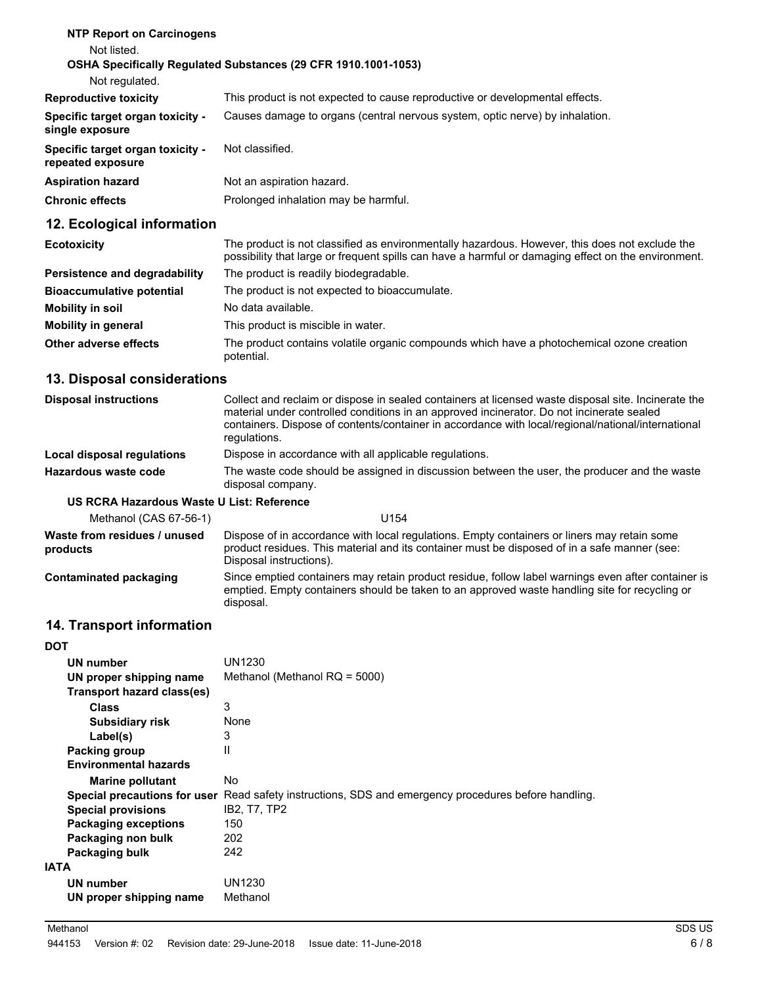| <b>NTP Report on Carcinogens</b>                      |                                                                              |
|-------------------------------------------------------|------------------------------------------------------------------------------|
| Not listed.                                           |                                                                              |
|                                                       | <b>OSHA Specifically Requiated Substances (29 CFR 1910.1001-1053)</b>        |
| Not regulated.                                        |                                                                              |
| <b>Reproductive toxicity</b>                          | This product is not expected to cause reproductive or developmental effects. |
| Specific target organ toxicity -<br>single exposure   | Causes damage to organs (central nervous system, optic nerve) by inhalation. |
| Specific target organ toxicity -<br>repeated exposure | Not classified.                                                              |
| <b>Aspiration hazard</b>                              | Not an aspiration hazard.                                                    |
| <b>Chronic effects</b>                                | Prolonged inhalation may be harmful.                                         |
| 12. Ecological information                            |                                                                              |

| <b>Ecotoxicity</b>               | The product is not classified as environmentally hazardous. However, this does not exclude the<br>possibility that large or frequent spills can have a harmful or damaging effect on the environment. |
|----------------------------------|-------------------------------------------------------------------------------------------------------------------------------------------------------------------------------------------------------|
| Persistence and degradability    | The product is readily biodegradable.                                                                                                                                                                 |
| <b>Bioaccumulative potential</b> | The product is not expected to bioaccumulate.                                                                                                                                                         |
| Mobility in soil                 | No data available.                                                                                                                                                                                    |
| <b>Mobility in general</b>       | This product is miscible in water.                                                                                                                                                                    |
| Other adverse effects            | The product contains volatile organic compounds which have a photochemical ozone creation<br>potential.                                                                                               |

# **13. Disposal considerations**

| <b>Disposal instructions</b> | Collect and reclaim or dispose in sealed containers at licensed waste disposal site. Incinerate the<br>material under controlled conditions in an approved incinerator. Do not incinerate sealed<br>containers. Dispose of contents/container in accordance with local/regional/national/international<br>regulations. |
|------------------------------|------------------------------------------------------------------------------------------------------------------------------------------------------------------------------------------------------------------------------------------------------------------------------------------------------------------------|
| Local disposal regulations   | Dispose in accordance with all applicable regulations.                                                                                                                                                                                                                                                                 |
| Hazardous waste code         | The waste code should be assigned in discussion between the user, the producer and the waste<br>disposal company.                                                                                                                                                                                                      |

### **US RCRA Hazardous Waste U List: Reference**

| Methanol (CAS 67-56-1)                   | U154                                                                                                                                                                                                                   |
|------------------------------------------|------------------------------------------------------------------------------------------------------------------------------------------------------------------------------------------------------------------------|
| Waste from residues / unused<br>products | Dispose of in accordance with local regulations. Empty containers or liners may retain some<br>product residues. This material and its container must be disposed of in a safe manner (see:<br>Disposal instructions). |
| Contaminated packaging                   | Since emptied containers may retain product residue, follow label warnings even after container is<br>emptied. Empty containers should be taken to an approved waste handling site for recycling or<br>disposal.       |

# **14. Transport information**

| <b>DOT</b>                   |                                                                         |
|------------------------------|-------------------------------------------------------------------------|
| UN number                    | UN1230                                                                  |
| UN proper shipping name      | Methanol (Methanol $RQ = 5000$ )                                        |
| Transport hazard class(es)   |                                                                         |
| <b>Class</b>                 | 3                                                                       |
| <b>Subsidiary risk</b>       | None                                                                    |
| Label(s)                     | 3                                                                       |
| Packing group                | $\mathsf{I}$                                                            |
| <b>Environmental hazards</b> |                                                                         |
| <b>Marine pollutant</b>      | No                                                                      |
| Special precautions for user | Read safety instructions, SDS and emergency procedures before handling. |
| <b>Special provisions</b>    | IB2, T7, TP2                                                            |
| <b>Packaging exceptions</b>  | 150                                                                     |
| Packaging non bulk           | 202                                                                     |
| Packaging bulk               | 242                                                                     |
| <b>IATA</b>                  |                                                                         |
| UN number                    | UN1230                                                                  |
| UN proper shipping name      | Methanol                                                                |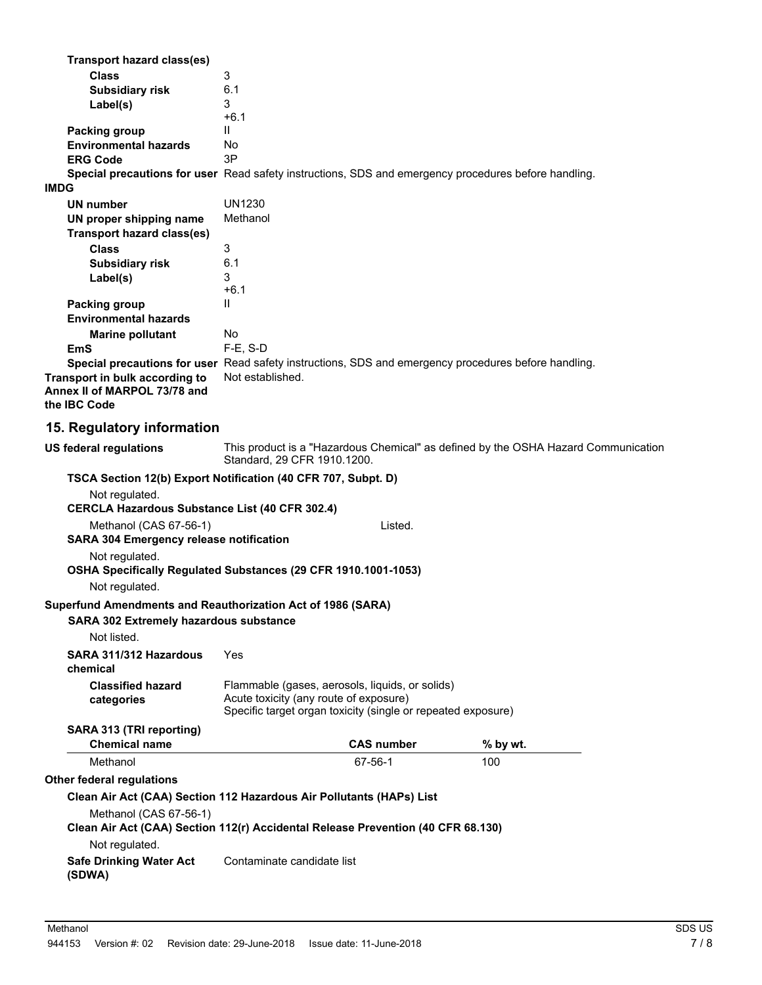| <b>Transport hazard class(es)</b><br><b>Class</b><br><b>Subsidiary risk</b><br>Label(s)                                                                                                 | 3<br>6.1<br>3<br>$+6.1$                                                                                                                                   |          |
|-----------------------------------------------------------------------------------------------------------------------------------------------------------------------------------------|-----------------------------------------------------------------------------------------------------------------------------------------------------------|----------|
| Packing group<br><b>Environmental hazards</b><br><b>ERG Code</b><br><b>IMDG</b>                                                                                                         | $\mathbf{I}$<br>No<br>3P<br>Special precautions for user Read safety instructions, SDS and emergency procedures before handling.                          |          |
| <b>UN number</b><br>UN proper shipping name                                                                                                                                             | <b>UN1230</b><br>Methanol                                                                                                                                 |          |
| Transport hazard class(es)<br><b>Class</b><br><b>Subsidiary risk</b><br>Label(s)                                                                                                        | 3<br>6.1<br>3                                                                                                                                             |          |
| <b>Packing group</b><br><b>Environmental hazards</b>                                                                                                                                    | $+6.1$<br>Ш                                                                                                                                               |          |
| <b>Marine pollutant</b><br>EmS<br>Transport in bulk according to<br>Annex II of MARPOL 73/78 and<br>the IBC Code                                                                        | No<br>F-E, S-D<br>Special precautions for user Read safety instructions, SDS and emergency procedures before handling.<br>Not established.                |          |
| 15. Regulatory information                                                                                                                                                              |                                                                                                                                                           |          |
| <b>US federal regulations</b>                                                                                                                                                           | This product is a "Hazardous Chemical" as defined by the OSHA Hazard Communication<br>Standard, 29 CFR 1910.1200.                                         |          |
| Not regulated.<br><b>CERCLA Hazardous Substance List (40 CFR 302.4)</b><br>Methanol (CAS 67-56-1)<br><b>SARA 304 Emergency release notification</b><br>Not regulated.<br>Not regulated. | TSCA Section 12(b) Export Notification (40 CFR 707, Subpt. D)<br>Listed.<br>OSHA Specifically Regulated Substances (29 CFR 1910.1001-1053)                |          |
| Superfund Amendments and Reauthorization Act of 1986 (SARA)<br><b>SARA 302 Extremely hazardous substance</b><br>Not listed.                                                             |                                                                                                                                                           |          |
| SARA 311/312 Hazardous<br>chemical                                                                                                                                                      | Yes                                                                                                                                                       |          |
| <b>Classified hazard</b><br>categories                                                                                                                                                  | Flammable (gases, aerosols, liquids, or solids)<br>Acute toxicity (any route of exposure)<br>Specific target organ toxicity (single or repeated exposure) |          |
| SARA 313 (TRI reporting)<br><b>Chemical name</b>                                                                                                                                        | <b>CAS number</b>                                                                                                                                         | % by wt. |
| Methanol                                                                                                                                                                                | 67-56-1                                                                                                                                                   | 100      |
| Other federal regulations                                                                                                                                                               |                                                                                                                                                           |          |
| Methanol (CAS 67-56-1)                                                                                                                                                                  | Clean Air Act (CAA) Section 112 Hazardous Air Pollutants (HAPs) List<br>Clean Air Act (CAA) Section 112(r) Accidental Release Prevention (40 CFR 68.130)  |          |
| Not regulated.<br><b>Safe Drinking Water Act</b><br>(SDWA)                                                                                                                              | Contaminate candidate list                                                                                                                                |          |
|                                                                                                                                                                                         |                                                                                                                                                           |          |